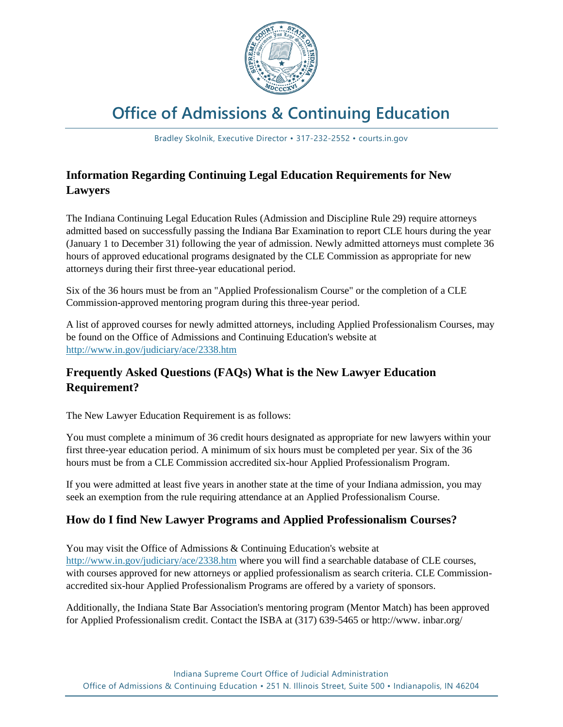

# **Office of Admissions & Continuing Education**

Bradley Skolnik, Executive Director • 317-232-2552 • courts.in.gov

# **Information Regarding Continuing Legal Education Requirements for New Lawyers**

The Indiana Continuing Legal Education Rules (Admission and Discipline Rule 29) require attorneys admitted based on successfully passing the Indiana Bar Examination to report CLE hours during the year (January 1 to December 31) following the year of admission. Newly admitted attorneys must complete 36 hours of approved educational programs designated by the CLE Commission as appropriate for new attorneys during their first three-year educational period.

Six of the 36 hours must be from an "Applied Professionalism Course" or the completion of a CLE Commission-approved mentoring program during this three-year period.

A list of approved courses for newly admitted attorneys, including Applied Professionalism Courses, may be found on the Office of Admissions and Continuing Education's website at <http://www.in.gov/judiciary/ace/2338.htm>

# **Frequently Asked Questions (FAQs) What is the New Lawyer Education Requirement?**

The New Lawyer Education Requirement is as follows:

You must complete a minimum of 36 credit hours designated as appropriate for new lawyers within your first three-year education period. A minimum of six hours must be completed per year. Six of the 36 hours must be from a CLE Commission accredited six-hour Applied Professionalism Program.

If you were admitted at least five years in another state at the time of your Indiana admission, you may seek an exemption from the rule requiring attendance at an Applied Professionalism Course.

#### **How do I find New Lawyer Programs and Applied Professionalism Courses?**

You may visit the Office of Admissions & Continuing Education's website at <http://www.in.gov/judiciary/ace/2338.htm> where you will find a searchable database of CLE courses, with courses approved for new attorneys or applied professionalism as search criteria. CLE Commissionaccredited six-hour Applied Professionalism Programs are offered by a variety of sponsors.

Additionally, the Indiana State Bar Association's mentoring program (Mentor Match) has been approved for Applied Professionalism credit. Contact the ISBA at (317) 639-5465 or http://www. inbar.org/